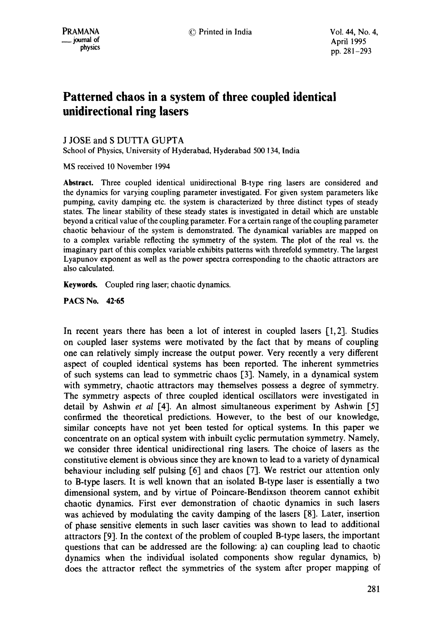# **Patterned chaos in a system of three coupled identical unidirectional ring lasers**

J JOSE and S DUTTA GUPTA

School of Physics, University of Hyderabad, Hyderabad 500 134, India

MS received 10 November 1994

**Abstract.** Three coupled identical unidirectional B-type ring lasers are considered and the dynamics for varying coupling parameter investigated. For given system parameters like pumping, cavity damping etc. the system is characterized by three distinct types of steady states. The linear stability of these steady states is investigated in detail which are unstable beyond a critical value of the coupling parameter. For a certain range of the coupling parameter chaotic behaviour of the system is demonstrated. The dynamical variables are mapped on to a complex variable reflecting the symmetry of the system. The plot of the real vs. the imaginary part of this complex variable exhibits patterns with threefold symmetry. The largest Lyapunov exponent as well as the power spectra corresponding to the chaotic attractors are also calculated.

**Keywords.** Coupled ring laser; chaotic dynamics.

**PACS No. 42"65** 

In recent years there has been a lot of interest in coupled lasers  $[1,2]$ . Studies on coupled laser systems were motivated by the fact that by means of coupling one can relatively simply increase the output power. Very recently a very different aspect of coupled identical systems has been reported. The inherent symmetries of such systems can lead to symmetric chaos [3]. Namely, in a dynamical system with symmetry, chaotic attractors may themselves possess a degree of symmetry. The symmetry aspects of three coupled identical oscillators were investigated in detail by Ashwin *et al* [4]. An almost simultaneous experiment by Ashwin [5] confirmed the theoretical predictions. However, to the best of our knowledge, similar concepts have not yet been tested for optical systems. In this paper we concentrate on an optical system with inbuilt cyclic permutation symmetry. Namely, we consider three identical unidirectional ring lasers. The choice of lasers as the constitutive element is obvious since they are known to lead to a variety of dynamical behaviour including self pulsing [6] and chaos [7]. We restrict our attention only to B-type lasers. It is well known that an isolated B-type laser is essentially a two dimensional system, and by virtue of Poincare-Bendixson theorem cannot exhibit chaotic dynamics. First ever demonstration of chaotic dynamics in such lasers was achieved by modulating the cavity damping of the lasers [8]. Later, insertion of phase sensitive elements in such laser cavities was shown to lead to additional attractors [9]. In the context of the problem of coupled B-type lasers, the important questions that can be addressed are the following: a) can coupling lead to chaotic dynamics when the individual isolated components show regular dynamics, b) does the attractor reflect the symmetries of the system after proper mapping of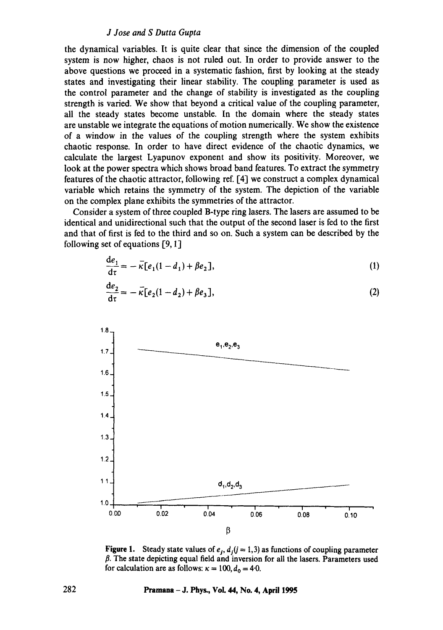### *J Jose and S Durra Gupta*

the dynamical variables. It is quite clear that since the dimension of the coupled system is now higher, chaos is not ruled out. In order to provide answer to the above questions we proceed in a systematic fashion, first by looking at the steady states and investigating their linear stability. The coupling parameter is used as the control parameter and the change of stability is investigated as the coupling strength is varied. We show that beyond a critical value of the coupling parameter, all the steady states become unstable. In the domain where the steady states are unstable we integrate the equations of motion numerically. We show the existence of a window in the values of the coupling strength where the system exhibits chaotic response. In order to have direct evidence of the chaotic dynamics, we calculate the largest Lyapunov exponent and show its positivity. Moreover, we look at the power spectra which shows broad band features. To extract the symmetry features of the chaotic attractor, following ref. [4] we construct a complex dynamical i variable which retains the symmetry of the system. The depiction of the variable on the complex plane exhibits the symmetries of the attractor.

Consider a system of three coupled B-type ring lasers. The lasers are assumed to be identical and unidirectional such that the output of the second laser is fed to the first and that of first is fed to the third and so on. Such a system can be described by the following set of equations  $[9, 1]$ 

$$
\frac{\mathrm{d}e_1}{\mathrm{d}\tau} = -\overline{\kappa}[e_1(1-d_1) + \beta e_2],\tag{1}
$$

$$
\frac{de_2}{d\tau} = -\bar{\kappa}[e_2(1-d_2) + \beta e_3],
$$
 (2)



**Figure 1.** Steady state values of  $e_i$ ,  $d_i$  ( $j = 1,3$ ) as functions of coupling parameter  $\beta$ . The state depicting equal field and inversion for all the lasers. Parameters used for calculation are as follows:  $\kappa = 100$ ,  $d_0 = 4.0$ .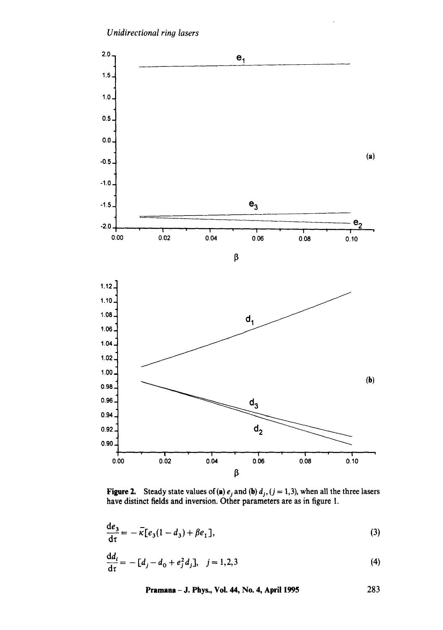

**Figure 2.** Steady state values of (a)  $e_i$  and (b)  $d_i$ , (j = 1,3), when all the three lasers have distinct fields and inversion. Other parameters are as in figure 1.

$$
\frac{\mathrm{d}e_3}{\mathrm{d}\tau} = -\overline{\kappa}[e_3(1-d_3) + \beta e_1],\tag{3}
$$

l,

$$
\frac{dd_i}{d\tau} = -[d_j - d_0 + e_j^2 d_j], \quad j = 1, 2, 3
$$
\n(4)

**Pramana** - J. Phys., Voi. 44, No. 4, April 1995 283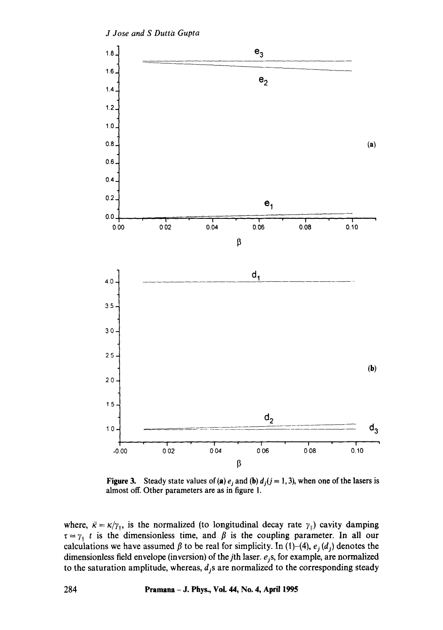

**Figure 3.** Steady state values of (a)  $e_i$  and (b)  $d_i$  ( $j = 1, 3$ ), when one of the lasers is **almost off. Other parameters are as in figure** 1.

where,  $\vec{\kappa} = \kappa / \gamma_{\parallel}$ , is the normalized (to longitudinal decay rate  $\gamma_{\parallel}$ ) cavity damping  $\tau = \gamma_{\parallel} t$  is the dimensionless time, and  $\beta$  is the coupling parameter. In all our calculations we have assumed  $\beta$  to be real for simplicity. In (1)-(4),  $e_j(d_j)$  denotes the dimensionless field envelope (inversion) of the *j*th laser.  $e_j$ s, for example, are normalized to the saturation amplitude, whereas,  $d_j$ s are normalized to the corresponding steady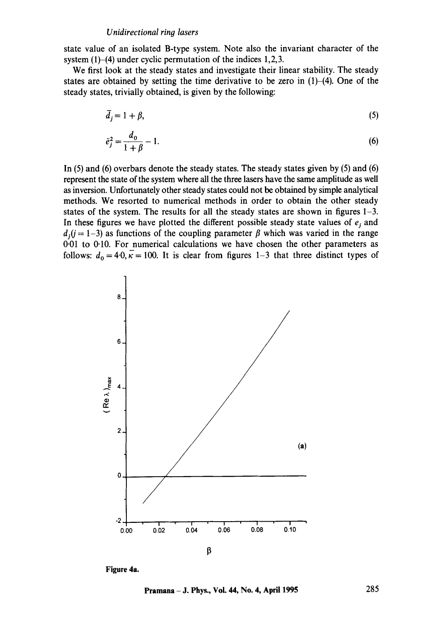#### *Unidirectional ring lasers*

state value of an isolated B-type system. Note also the invariant character of the system (1)–(4) under cyclic permutation of the indices 1,2,3.

We first look at the steady states and investigate their linear stability. The steady states are obtained by setting the time derivative to be zero in  $(1)$ - $(4)$ . One of the steady states, trivially obtained, is given by the following:

$$
\bar{d}_j = 1 + \beta,\tag{5}
$$

$$
\bar{e}_j^2 = \frac{d_0}{1 + \beta} - 1.
$$
 (6)

In (5) and (6) overbars denote the steady states. The steady states given by (5) and (6) represent the state of the system where all the three lasers have the same amplitude as well as inversion. Unfortunately other steady states could not be obtained by simple analytical methods. We resorted to numerical methods in order to obtain the other steady states of the system. The results for all the steady states are shown in figures 1-3. In these figures we have plotted the different possible steady state values of  $e_i$  and  $d_i$   $(j = 1-3)$  as functions of the coupling parameter  $\beta$  which was varied in the range 0.01 to 0.10. For numerical calculations we have chosen the other parameters as follows:  $d_0 = 4.0$ ,  $\overline{k} = 100$ . It is clear from figures 1-3 that three distinct types of



**Figure 4a.** 

**Pramana - J. Phys., Vol. 44, No. 4, April 1995 285**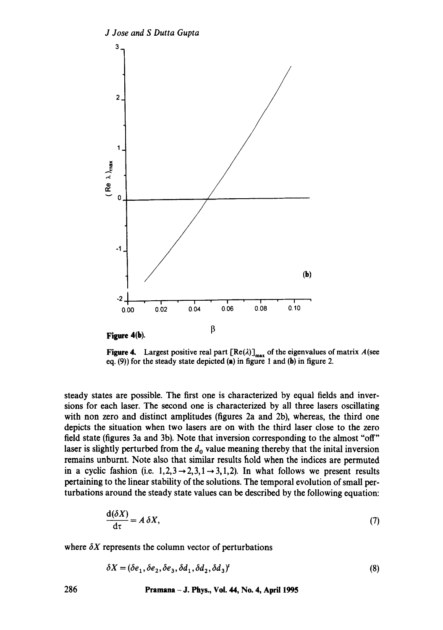

Figure 4. Largest positive real part  $[Re(\lambda)]_{max}$  of the eigenvalues of matrix A(see eq. (9)) for the steady state depicted (a) in figure 1 and (b) in figure 2.

steady states are possible. The first one is characterized by equal fields and inversions for each laser. The second one is characterized by all three lasers oscillating with non zero and distinct amplitudes (figures 2a and 2b), whereas, the third one depicts the situation when two lasers are on with the third laser close to the zero field state (figures 3a and 3b). Note that inversion corresponding to the almost "off" laser is slightly perturbed from the  $d_0$  value meaning thereby that the inital inversion remains unburnt. Note also that similar results hold when the indices are permuted in a cyclic fashion (i.e.  $1,2,3\rightarrow2,3,1\rightarrow3,1,2$ ). In what follows we present results pertaining to the linear stability of the solutions. The temporal evolution of small perturbations around the steady state values can be described by the following equation:

$$
\frac{d(\delta X)}{d\tau} = A \, \delta X,\tag{7}
$$

where  $\delta X$  represents the column vector of perturbations

$$
\delta X = (\delta e_1, \delta e_2, \delta e_3, \delta d_1, \delta d_2, \delta d_3)'
$$
\n(8)

**286 Pramana - J. Phys., Vol. 44, No. 4, April 1995**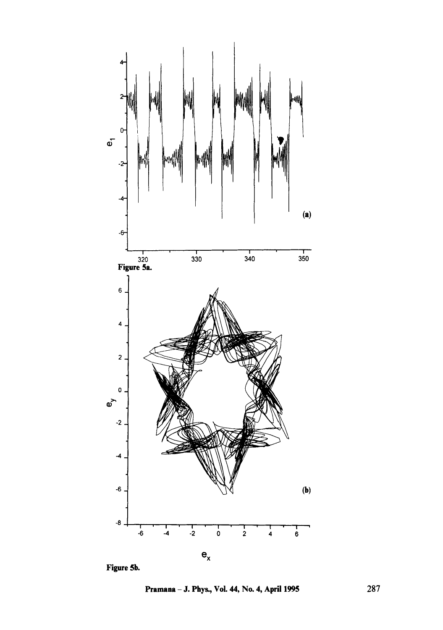

Figure 5b.

Pramana - J. Phys., Vol. 44, No. 4, April 1995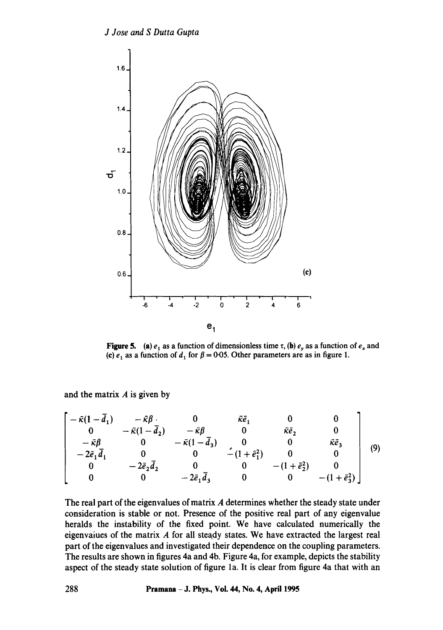

**Figure 5.** (a)  $e_1$  as a function of dimensionless time  $\tau$ , (b)  $e_y$  as a function of  $e_x$  and (c)  $e_1$  as a function of  $d_1$  for  $\beta = 0.05$ . Other parameters are as in figure 1.

and the matrix  $A$  is given by

$$
\begin{bmatrix}\n-\tilde{\kappa}(1-\bar{d}_1) & -\tilde{\kappa}\beta & 0 & \tilde{\kappa}\bar{e}_1 & 0 & 0 \\
0 & -\tilde{\kappa}(1-\bar{d}_2) & -\tilde{\kappa}\beta & 0 & \tilde{\kappa}\bar{e}_2 & 0 \\
-\tilde{\kappa}\beta & 0 & -\tilde{\kappa}(1-\bar{d}_3) & 0 & 0 & \tilde{\kappa}\bar{e}_3 \\
-2\tilde{e}_1\bar{d}_1 & 0 & 0 & -(1+\tilde{e}_1^2) & 0 & 0 \\
0 & -2\bar{e}_2\bar{d}_2 & 0 & 0 & -(1+\tilde{e}_2^2) & 0 \\
0 & 0 & -2\bar{e}_1\bar{d}_3 & 0 & 0 & -(1+\tilde{e}_3^2)\n\end{bmatrix}
$$
(9)

The real part of the eigenvalues of matrix A determines whether the steady state under consideration is stable or not. Presence of the positive real part of any eigenvalue heralds the instability of the fixed point. We have calculated numerically the eigenvaiues of the matrix A for all steady states. We have extracted the largest real part of the eigenvalues and investigated their dependence on the coupling parameters. The results are shown in figures 4a and 4b. Figure 4a, for example, depicts the stability aspect of the steady state solution of figure la. It is clear from figure 4a that with an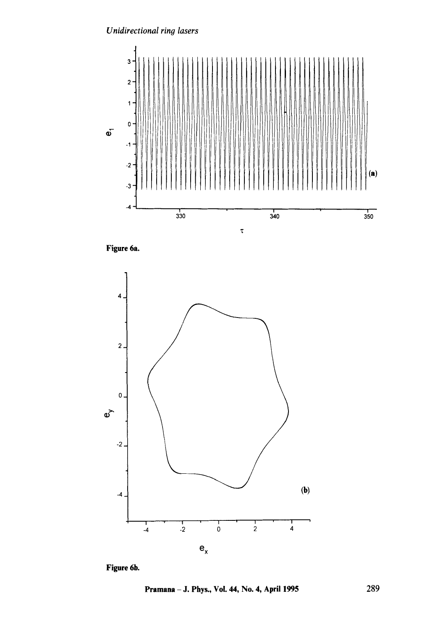# *Unidirectional ring lasers*



Figure 6a.



Figure 6b.

**Pramana -** J. Phys., Vol. 44, No. 4, April 1995 289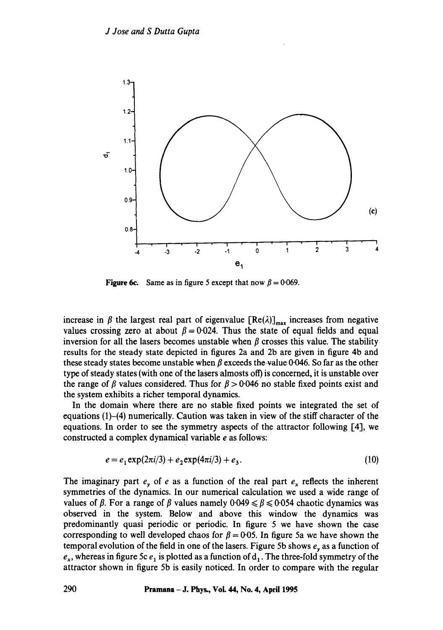

**Figure 6c.** Same as in figure 5 except that now  $\beta = 0.069$ .

increase in  $\beta$  the largest real part of eigenvalue  $[Re(\lambda)]_{max}$  increases from negative values crossing zero at about  $\beta = 0.024$ . Thus the state of equal fields and equal inversion for all the lasers becomes unstable when  $\beta$  crosses this value. The stability results for the steady state depicted in figures 2a and 2b are given in figure 4b and these steady states become unstable when  $\beta$  exceeds the-value 0.046. So far as the other type of steady states (with one of the lasers almosts off) is concerned, it is unstable over the range of  $\beta$  values considered. Thus for  $\beta > 0.046$  no stable fixed points exist and the system exhibits a richer temporal dynamics.

In the domain where there are no stable fixed points we integrated the set of equations  $(1)$ - $(4)$  numerically. Caution was taken in view of the stiff character of the equations. In order to see the symmetry aspects of the attractor following [41, we constructed a complex dynamical variable e as follows:

$$
e = e_1 \exp(2\pi i/3) + e_2 \exp(4\pi i/3) + e_3.
$$
 (10)

The imaginary part  $e_y$  of e as a function of the real part  $e_x$  reflects the inherent symmetries of the dynamics. In our numerical calculation we used a wide range of values of  $\beta$ . For a range of  $\beta$  values namely 0.049  $\leq \beta \leq 0.054$  chaotic dynamics was observed in the system. Below and above this window the dynamics was predominantly quasi periodic or periodic. In figure 5 we have shown the case corresponding to well developed chaos for  $\beta = 0.05$ . In figure 5a we have shown the temporal evolution of the field in one of the lasers. Figure 5b shows  $e<sub>v</sub>$  as a function of  $e_x$ , whereas in figure 5c  $e_1$  is plotted as a function of  $d_1$ . The three-fold symmetry of the attractor shown in figure 5b is easily noticed. In order to compare with the regular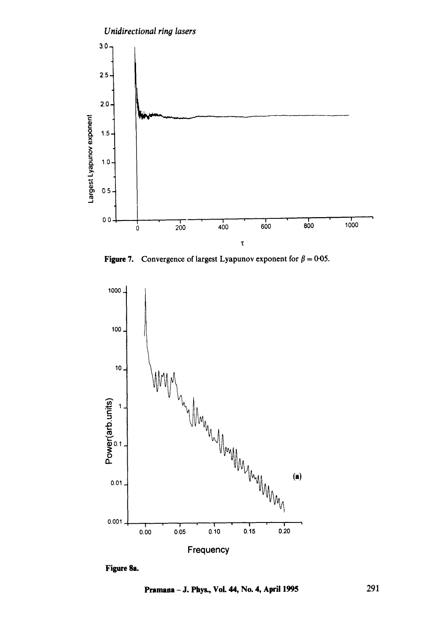

Figure 7. Convergence of largest Lyapunov exponent for  $\beta = 0.05$ .



Figure 8a.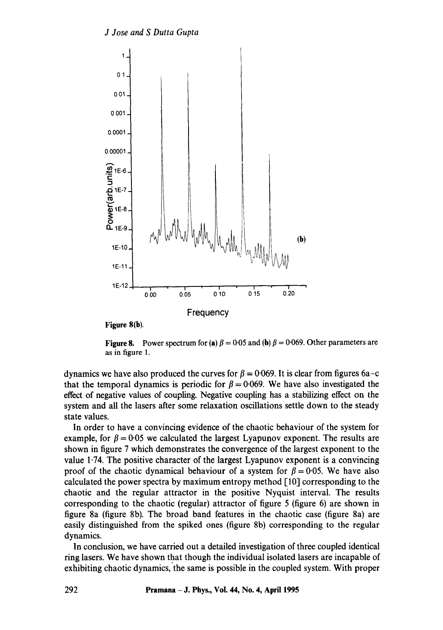

**Figure 8(b).** 

Figure 8. Power spectrum for (a)  $\beta = 0.05$  and (b)  $\beta = 0.069$ . Other parameters are as in figure 1.

dynamics we have also produced the curves for  $\beta = 0.069$ . It is clear from figures 6a-c that the temporal dynamics is periodic for  $\beta = 0.069$ . We have also investigated the effect of negative values of coupling. Negative coupling has a stabilizing effect on the system and all the lasers after some relaxation oscillations settle down to the steady state values.

In order to have a convincing evidence of the chaotic behaviour of the system for example, for  $\beta = 0.05$  we calculated the largest Lyapunov exponent. The results are shown in figure 7 which demonstrates the convergence of the largest exponent to the value 1.74. The positive character of the largest Lyapunov exponent is a convincing proof of the chaotic dynamical behaviour of a system for  $\beta = 0.05$ . We have also calculated the power spectra by maximum entropy method [10] corresponding to the chaotic and the regular attractor in the positive Nyquist interval. The results corresponding to the chaotic (regular) attractor of figure 5 (figure 6) are shown in figure 8a (figure 8b). The broad band features in the chaotic case (figure 8a) are easily distinguished from the spiked ones (figure 8b) corresponding to the regular dynamics.

In conclusion, we have carried out a detailed investigation of three coupled identical ring lasers. We have shown that though the individual isolated lasers are incapable of exhibiting chaotic dynamics, the same is possible in the coupled system. With proper